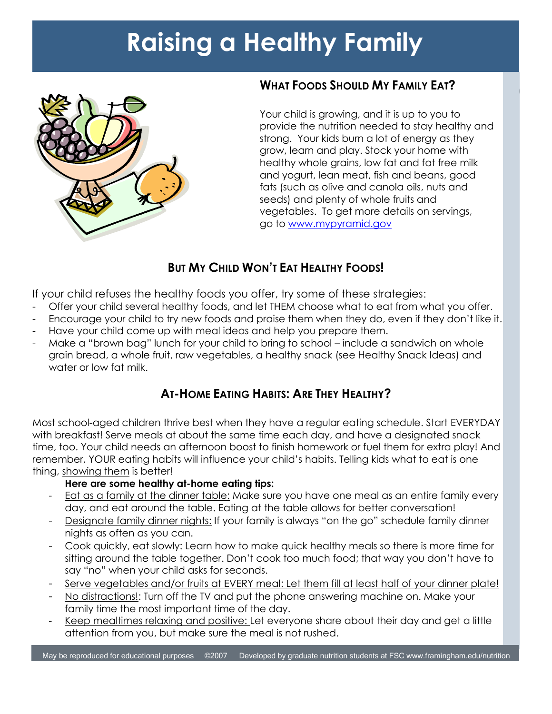# **Raising a Healthy Family**



# **WHAT FOODS SHOULD MY FAMILY EAT?**

Your child is growing, and it is up to you to provide the nutrition needed to stay healthy and strong. Your kids burn a lot of energy as they grow, learn and play. Stock your home with healthy whole grains, low fat and fat free milk and yogurt, lean meat, fish and beans, good fats (such as olive and canola oils, nuts and seeds) and plenty of whole fruits and vegetables. To get more details on servings, go to [www.mypyramid.gov](http://www.mypyramid.gov/)

 $\mathbf{I}$ 

## **BUT MY CHILD WON'T EAT HEALTHY FOODS!**

If your child refuses the healthy foods you offer, try some of these strategies:

- Offer your child several healthy foods, and let THEM choose what to eat from what you offer.
- Encourage your child to try new foods and praise them when they do, even if they don't like it.
- Have your child come up with meal ideas and help you prepare them.
- Make a "brown bag" lunch for your child to bring to school include a sandwich on whole grain bread, a whole fruit, raw vegetables, a healthy snack (see Healthy Snack Ideas) and water or low fat milk.

### **AT-HOME EATING HABITS: ARE THEY HEALTHY?**

Most school-aged children thrive best when they have a regular eating schedule. Start EVERYDAY with breakfast! Serve meals at about the same time each day, and have a designated snack time, too. Your child needs an afternoon boost to finish homework or fuel them for extra play! And remember, YOUR eating habits will influence your child"s habits. Telling kids what to eat is one thing, showing them is better!

#### **Here are some healthy at-home eating tips:**

- Eat as a family at the dinner table: Make sure you have one meal as an entire family every day, and eat around the table. Eating at the table allows for better conversation!
- Designate family dinner nights: If your family is always "on the go" schedule family dinner nights as often as you can.
- Cook quickly, eat slowly: Learn how to make quick healthy meals so there is more time for sitting around the table together. Don"t cook too much food; that way you don"t have to say "no" when your child asks for seconds.
- Serve vegetables and/or fruits at EVERY meal: Let them fill at least half of your dinner plate!
- No distractions!: Turn off the TV and put the phone answering machine on. Make your family time the most important time of the day.
- Keep mealtimes relaxing and positive: Let everyone share about their day and get a little attention from you, but make sure the meal is not rushed.

May be reproduced for educational purposes ©2007 Developed by graduate nutrition students at FSC www.framingham.edu/nutrition